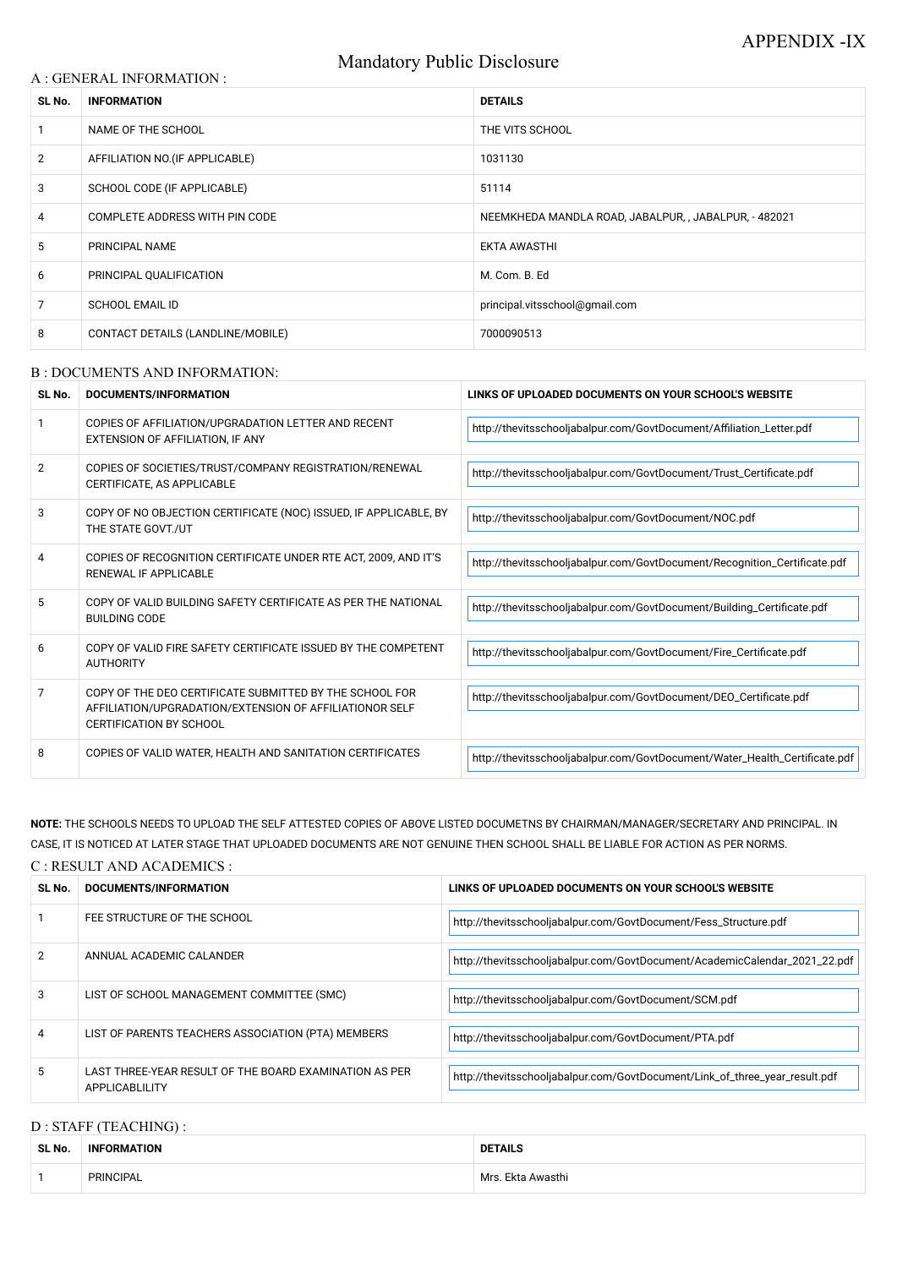# Mandatory Public Disclosure

#### A : GENERAL INFORMATION :

| SL No.         | <b>INFORMATION</b>                | <b>DETAILS</b>                                        |  |
|----------------|-----------------------------------|-------------------------------------------------------|--|
|                | NAME OF THE SCHOOL                | THE VITS SCHOOL                                       |  |
| $\overline{2}$ | AFFILIATION NO. (IF APPLICABLE)   | 1031130                                               |  |
| 3              | SCHOOL CODE (IF APPLICABLE)       | 51114                                                 |  |
| 4              | COMPLETE ADDRESS WITH PIN CODE    | NEEMKHEDA MANDLA ROAD, JABALPUR, , JABALPUR, - 482021 |  |
| 5              | PRINCIPAL NAME                    | <b>EKTA AWASTHI</b>                                   |  |
| 6              | PRINCIPAL QUALIFICATION           | M. Com. B. Ed                                         |  |
| 7              | <b>SCHOOL EMAIL ID</b>            | principal.vitsschool@gmail.com                        |  |
| 8              | CONTACT DETAILS (LANDLINE/MOBILE) | 7000090513                                            |  |

#### B : DOCUMENTS AND INFORMATION:

| SL No.         | DOCUMENTS/INFORMATION                                                                                                                                | LINKS OF UPLOADED DOCUMENTS ON YOUR SCHOOL'S WEBSITE                       |  |
|----------------|------------------------------------------------------------------------------------------------------------------------------------------------------|----------------------------------------------------------------------------|--|
|                | COPIES OF AFFILIATION/UPGRADATION LETTER AND RECENT<br>EXTENSION OF AFFILIATION, IF ANY                                                              | http://thevitsschooljabalpur.com/GovtDocument/Affiliation_Letter.pdf       |  |
| $\overline{2}$ | COPIES OF SOCIETIES/TRUST/COMPANY REGISTRATION/RENEWAL<br>CERTIFICATE, AS APPLICABLE                                                                 | http://thevitsschooljabalpur.com/GovtDocument/Trust_Certificate.pdf        |  |
| 3              | COPY OF NO OBJECTION CERTIFICATE (NOC) ISSUED, IF APPLICABLE, BY<br>THE STATE GOVT./UT                                                               | http://thevitsschooljabalpur.com/GovtDocument/NOC.pdf                      |  |
| 4              | COPIES OF RECOGNITION CERTIFICATE UNDER RTE ACT, 2009, AND IT'S<br><b>RENEWAL IF APPLICABLE</b>                                                      | http://thevitsschooljabalpur.com/GovtDocument/Recognition_Certificate.pdf  |  |
| 5              | COPY OF VALID BUILDING SAFETY CERTIFICATE AS PER THE NATIONAL<br><b>BUILDING CODE</b>                                                                | http://thevitsschooljabalpur.com/GovtDocument/Building_Certificate.pdf     |  |
| 6              | COPY OF VALID FIRE SAFETY CERTIFICATE ISSUED BY THE COMPETENT<br><b>AUTHORITY</b>                                                                    | http://thevitsschooljabalpur.com/GovtDocument/Fire_Certificate.pdf         |  |
| 7              | COPY OF THE DEO CERTIFICATE SUBMITTED BY THE SCHOOL FOR<br>AFFILIATION/UPGRADATION/EXTENSION OF AFFILIATIONOR SELF<br><b>CERTIFICATION BY SCHOOL</b> | http://thevitsschooljabalpur.com/GovtDocument/DEO_Certificate.pdf          |  |
| 8              | COPIES OF VALID WATER, HEALTH AND SANITATION CERTIFICATES                                                                                            | http://thevitsschooljabalpur.com/GovtDocument/Water_Health_Certificate.pdf |  |

## **NOTE:** THE SCHOOLS NEEDS TO UPLOAD THE SELF ATTESTED COPIES OF ABOVE LISTED DOCUMETNS BY CHAIRMAN/MANAGER/SECRETARY AND PRINCIPAL. IN CASE, IT IS NOTICED AT LATER STAGE THAT UPLOADED DOCUMENTS ARE NOT GENUINE THEN SCHOOL SHALL BE LIABLE FOR ACTION AS PER NORMS.

## C : RESULT AND ACADEMICS :

| SL No. | DOCUMENTS/INFORMATION                                                    | LINKS OF UPLOADED DOCUMENTS ON YOUR SCHOOL'S WEBSITE                        |
|--------|--------------------------------------------------------------------------|-----------------------------------------------------------------------------|
|        | FEE STRUCTURE OF THE SCHOOL                                              | http://thevitsschooljabalpur.com/GovtDocument/Fess_Structure.pdf            |
| 2      | ANNUAL ACADEMIC CALANDER                                                 | http://thevitsschooljabalpur.com/GovtDocument/AcademicCalendar_2021_22.pdf  |
| 3      | LIST OF SCHOOL MANAGEMENT COMMITTEE (SMC)                                | http://thevitsschooljabalpur.com/GovtDocument/SCM.pdf                       |
| 4      | LIST OF PARENTS TEACHERS ASSOCIATION (PTA) MEMBERS                       | http://thevitsschooljabalpur.com/GovtDocument/PTA.pdf                       |
| 5.     | LAST THREE-YEAR RESULT OF THE BOARD EXAMINATION AS PER<br>APPLICABLILITY | http://thevitsschooljabalpur.com/GovtDocument/Link_of_three_year_result.pdf |

### D : STAFF (TEACHING) :

| SL No. | <b>INFORMATION</b> | <b>DETAILS</b>    |
|--------|--------------------|-------------------|
|        | <b>PRINCIPAL</b>   | Mrs. Ekta Awasthi |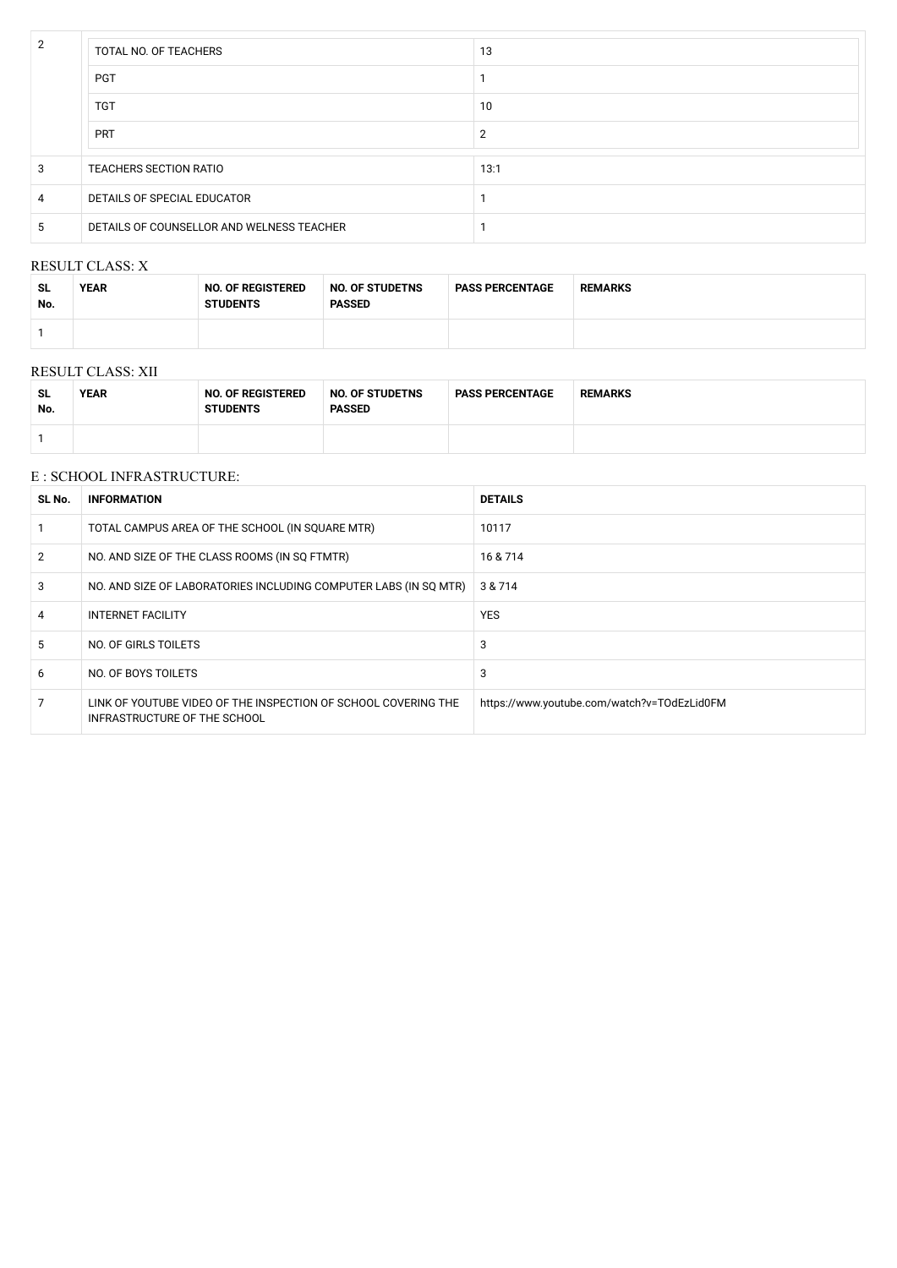| $\overline{2}$ | TOTAL NO. OF TEACHERS                     | 13   |
|----------------|-------------------------------------------|------|
|                | <b>PGT</b>                                |      |
|                | <b>TGT</b>                                | 10   |
|                | <b>PRT</b>                                | 2    |
| 3              | <b>TEACHERS SECTION RATIO</b>             | 13:1 |
| 4              | DETAILS OF SPECIAL EDUCATOR               |      |
| 5              | DETAILS OF COUNSELLOR AND WELNESS TEACHER |      |

#### RESULT CLASS: X

| <b>SL</b><br>No. | <b>YEAR</b> | <b>NO. OF REGISTERED</b><br><b>STUDENTS</b> | <b>NO. OF STUDETNS</b><br><b>PASSED</b> | <b>PASS PERCENTAGE</b> | <b>REMARKS</b> |
|------------------|-------------|---------------------------------------------|-----------------------------------------|------------------------|----------------|
|                  |             |                                             |                                         |                        |                |

#### RESULT CLASS: XII

| <b>SL</b><br>No. | <b>YEAR</b> | <b>NO. OF REGISTERED</b><br><b>STUDENTS</b> | <b>NO. OF STUDETNS</b><br><b>PASSED</b> | <b>PASS PERCENTAGE</b> | <b>REMARKS</b> |
|------------------|-------------|---------------------------------------------|-----------------------------------------|------------------------|----------------|
|                  |             |                                             |                                         |                        |                |

#### E : SCHOOL INFRASTRUCTURE:

| SL No.         | <b>INFORMATION</b>                                                                             | <b>DETAILS</b>                              |  |
|----------------|------------------------------------------------------------------------------------------------|---------------------------------------------|--|
|                | TOTAL CAMPUS AREA OF THE SCHOOL (IN SQUARE MTR)                                                | 10117                                       |  |
| $\overline{2}$ | NO. AND SIZE OF THE CLASS ROOMS (IN SQ FTMTR)                                                  | 16 & 714                                    |  |
| 3              | NO. AND SIZE OF LABORATORIES INCLUDING COMPUTER LABS (IN SQ MTR)                               | 3 & 714                                     |  |
| 4              | <b>INTERNET FACILITY</b>                                                                       | <b>YES</b>                                  |  |
| 5              | NO. OF GIRLS TOILETS                                                                           | 3                                           |  |
| 6              | NO. OF BOYS TOILETS                                                                            | 3                                           |  |
|                | LINK OF YOUTUBE VIDEO OF THE INSPECTION OF SCHOOL COVERING THE<br>INFRASTRUCTURE OF THE SCHOOL | https://www.youtube.com/watch?v=TOdEzLid0FM |  |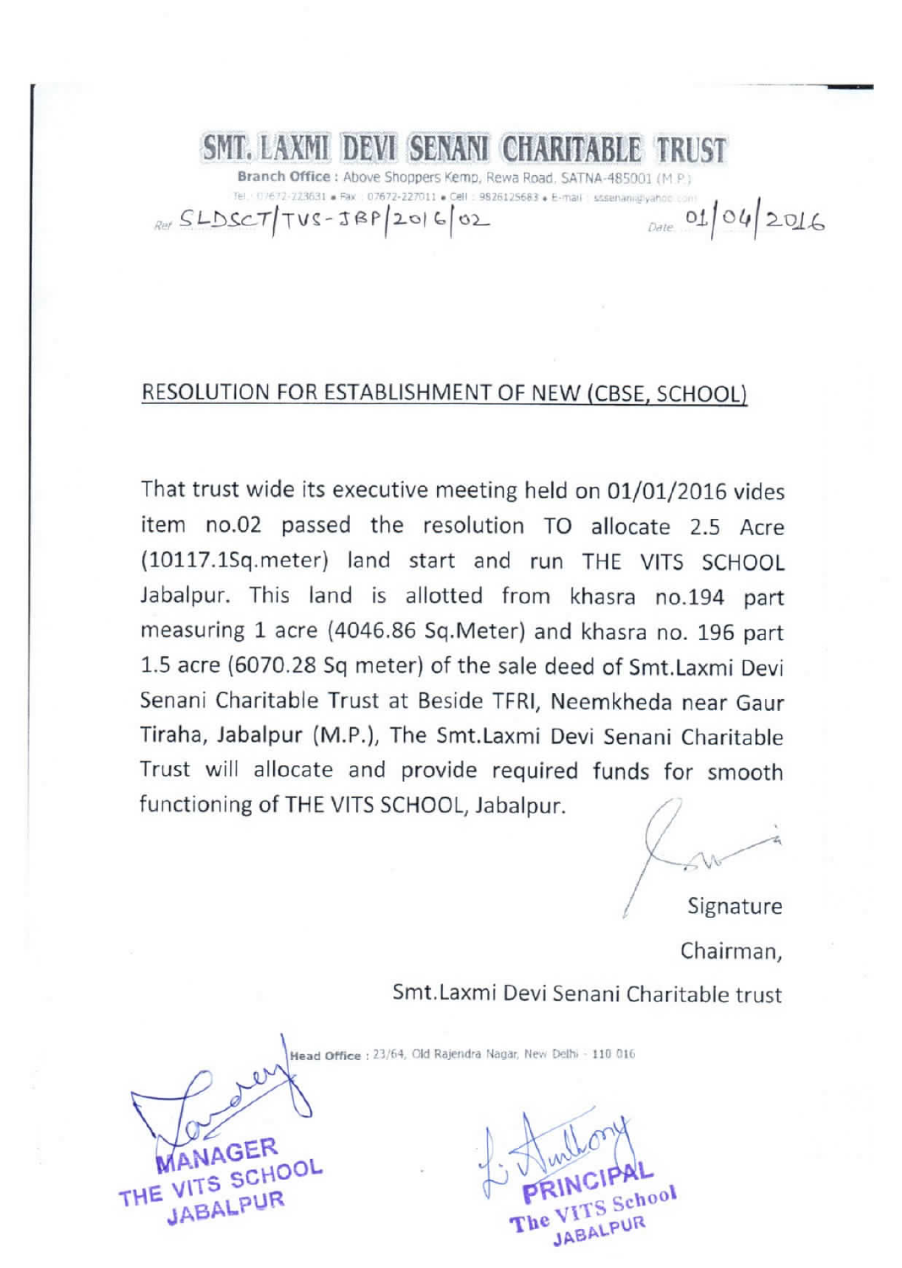# SMT. LAXMI DEVI SENANI CHARITABLE TRUST

Branch Office: Above Shoppers Kemp, Rewa Road, SATNA-485001 (M P) 07672-223631 · Fax: 07672-227011 · Cell: 9826125683 · E-mail: stsenanidivaho  $01042016$  $SEDSCT|TVS-TBP|20|6|02$ 

### RESOLUTION FOR ESTABLISHMENT OF NEW (CBSE, SCHOOL)

That trust wide its executive meeting held on 01/01/2016 vides item no.02 passed the resolution TO allocate 2.5 Acre (10117.1Sq.meter) land start and run THE VITS SCHOOL Jabalpur. This land is allotted from khasra no.194 part measuring 1 acre (4046.86 Sq.Meter) and khasra no. 196 part 1.5 acre (6070.28 Sq meter) of the sale deed of Smt.Laxmi Devi Senani Charitable Trust at Beside TFRI, Neemkheda near Gaur Tiraha, Jabalpur (M.P.), The Smt.Laxmi Devi Senani Charitable Trust will allocate and provide required funds for smooth functioning of THE VITS SCHOOL, Jabalpur.

Signature

Chairman, Smt.Laxmi Devi Senani Charitable trust

Head Office : 23/64, Old Rajendra Nagar, New Delhi - 110 016

**JAGER** THE VITS SCHOOL **JABALPUR** 

**JABALPUT**